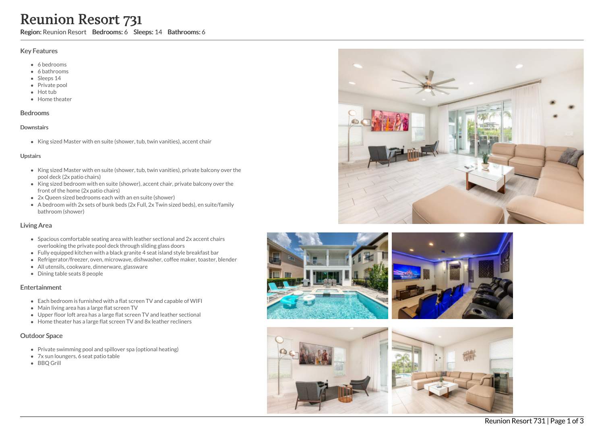# Reunion Resort 731

Region: Reunion Resort Bedrooms: 6 Sleeps: 14 Bathrooms: 6

#### Key Features

- 6 bedrooms
- 6 bathrooms
- Sleeps 14
- Private pool
- Hot tub
- Home theater

### Bedrooms

#### **Downstairs**

• King sized Master with en suite (shower, tub, twin vanities), accent chair

#### Upstairs

- King sized Master with en suite (shower, tub, twin vanities), private balcony over the pool deck (2x patio chairs)
- King sized bedroom with en suite (shower), accent chair, private balcony over the front of the home (2x patio chairs)
- 2x Queen sized bedrooms each with an en suite (shower)
- A bedroom with 2x sets of bunk beds (2x Full, 2x Twin sized beds), en suite/family bathroom (shower)

## Living Area

- Spacious comfortable seating area with leather sectional and 2x accent chairs overlooking the private pool deck through sliding glass doors
- Fully equipped kitchen with a black granite 4 seat island style breakfast bar
- Refrigerator/freezer, oven, microwave, dishwasher, coffee maker, toaster, blender
- All utensils, cookware, dinnerware, glassware
- Dining table seats 8 people

## Entertainment

- Each bedroom is furnished with a flat screen TV and capable of WIFI
- Main living area has a large flat screen TV
- Upper floor loft area has a large flat screen TV and leather sectional
- Home theater has a large flat screen TV and 8x leather recliners

## Outdoor Space

- Private swimming pool and spillover spa (optional heating)
- 7x sun loungers, 6 seat patio table
- BBQ Grill







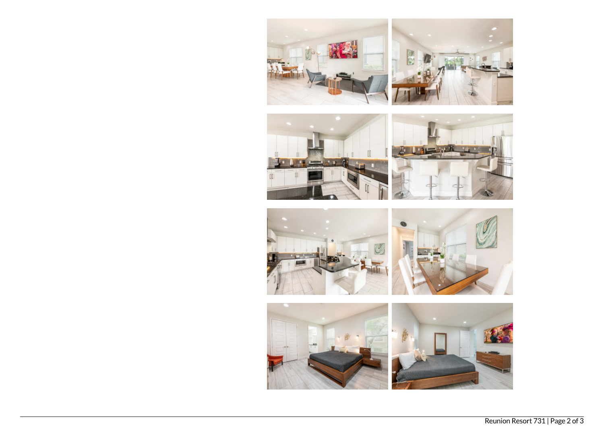

 $-64$